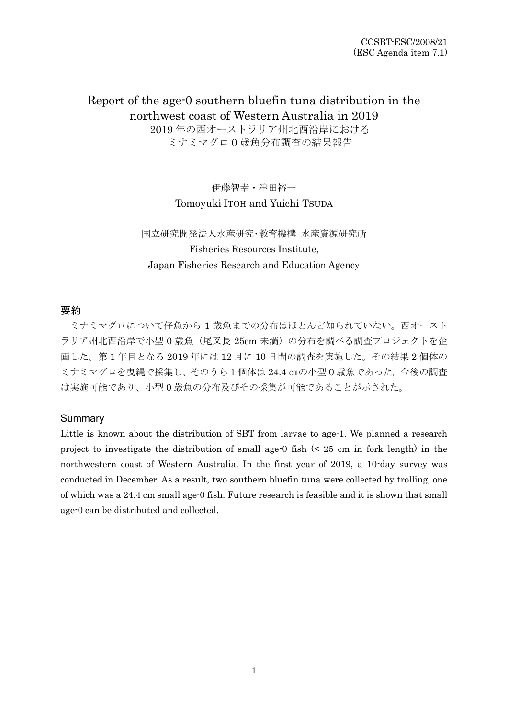# Report of the age-0 southern bluefin tuna distribution in the northwest coast of Western Australia in 2019 2019 年の西オーストラリア州北西沿岸における

ミナミマグロ 0 歳魚分布調査の結果報告

伊藤智幸・津田裕一 Tomoyuki ITOH and Yuichi TSUDA

## 国立研究開発法人水産研究・教育機構 水産資源研究所 Fisheries Resources Institute, Japan Fisheries Research and Education Agency

## 要約

ミナミマグロについて仔魚から 1 歳魚までの分布はほとんど知られていない。西オースト ラリア州北西沿岸で小型 0 歳魚 (尾叉長 25cm 未満)の分布を調べる調査プロジェクトを企 画した。第 1 年目となる 2019 年には 12 月に 10 日間の調査を実施した。その結果 2 個体の ミナミマグロを曳縄で採集し、そのうち 1 個体は 24.4 ㎝の小型 0 歳魚であった。今後の調査 は実施可能であり、小型 0 歳魚の分布及びその採集が可能であることが示された。

## Summary

Little is known about the distribution of SBT from larvae to age-1. We planned a research project to investigate the distribution of small age-0 fish (< 25 cm in fork length) in the northwestern coast of Western Australia. In the first year of 2019, a 10-day survey was conducted in December. As a result, two southern bluefin tuna were collected by trolling, one of which was a 24.4 cm small age-0 fish. Future research is feasible and it is shown that small age-0 can be distributed and collected.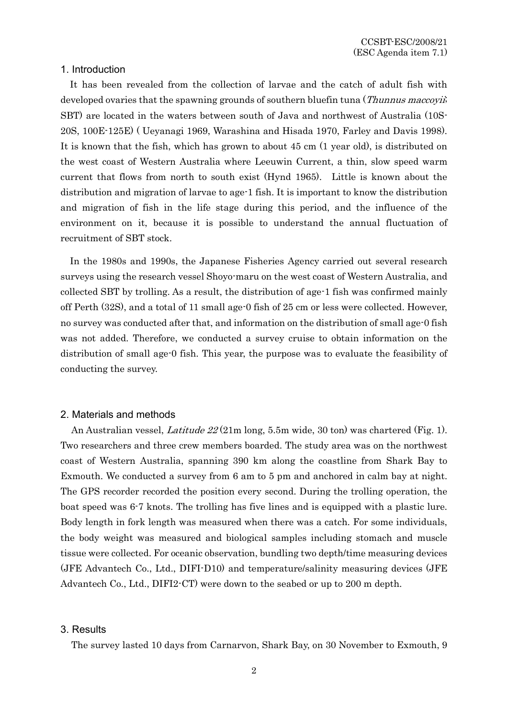### 1. Introduction

It has been revealed from the collection of larvae and the catch of adult fish with developed ovaries that the spawning grounds of southern bluefin tuna (*Thunnus maccoyii*; SBT) are located in the waters between south of Java and northwest of Australia (10S-20S, 100E-125E) ( Ueyanagi 1969, Warashina and Hisada 1970, Farley and Davis 1998). It is known that the fish, which has grown to about 45 cm (1 year old), is distributed on the west coast of Western Australia where Leeuwin Current, a thin, slow speed warm current that flows from north to south exist (Hynd 1965). Little is known about the distribution and migration of larvae to age-1 fish. It is important to know the distribution and migration of fish in the life stage during this period, and the influence of the environment on it, because it is possible to understand the annual fluctuation of recruitment of SBT stock.

In the 1980s and 1990s, the Japanese Fisheries Agency carried out several research surveys using the research vessel Shoyo-maru on the west coast of Western Australia, and collected SBT by trolling. As a result, the distribution of age-1 fish was confirmed mainly off Perth (32S), and a total of 11 small age-0 fish of 25 cm or less were collected. However, no survey was conducted after that, and information on the distribution of small age-0 fish was not added. Therefore, we conducted a survey cruise to obtain information on the distribution of small age-0 fish. This year, the purpose was to evaluate the feasibility of conducting the survey.

#### 2. Materials and methods

An Australian vessel, *Latitude 22* (21m long, 5.5m wide, 30 ton) was chartered (Fig. 1). Two researchers and three crew members boarded. The study area was on the northwest coast of Western Australia, spanning 390 km along the coastline from Shark Bay to Exmouth. We conducted a survey from 6 am to 5 pm and anchored in calm bay at night. The GPS recorder recorded the position every second. During the trolling operation, the boat speed was 6-7 knots. The trolling has five lines and is equipped with a plastic lure. Body length in fork length was measured when there was a catch. For some individuals, the body weight was measured and biological samples including stomach and muscle tissue were collected. For oceanic observation, bundling two depth/time measuring devices (JFE Advantech Co., Ltd., DIFI-D10) and temperature/salinity measuring devices (JFE Advantech Co., Ltd., DIFI2-CT) were down to the seabed or up to 200 m depth.

#### 3. Results

The survey lasted 10 days from Carnarvon, Shark Bay, on 30 November to Exmouth, 9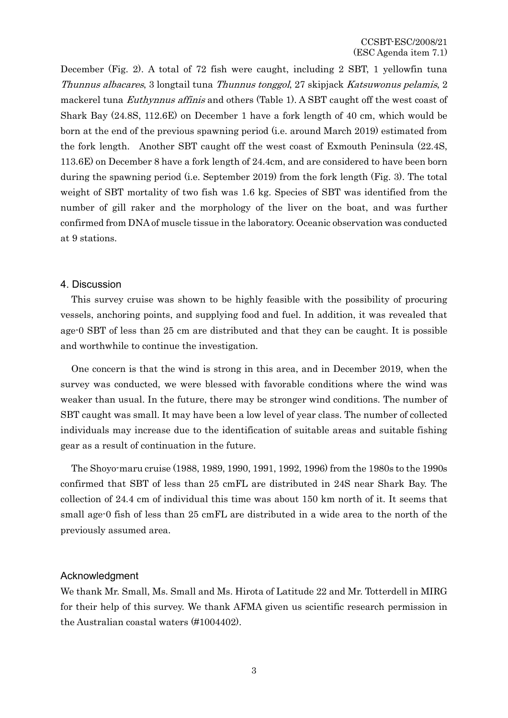December (Fig. 2). A total of 72 fish were caught, including 2 SBT, 1 yellowfin tuna Thunnus albacares, 3 longtail tuna Thunnus tonggol, 27 skipjack Katsuwonus pelamis, 2 mackerel tuna *Euthynnus affinis* and others (Table 1). A SBT caught off the west coast of Shark Bay (24.8S, 112.6E) on December 1 have a fork length of 40 cm, which would be born at the end of the previous spawning period (i.e. around March 2019) estimated from the fork length. Another SBT caught off the west coast of Exmouth Peninsula (22.4S, 113.6E) on December 8 have a fork length of 24.4cm, and are considered to have been born during the spawning period (i.e. September 2019) from the fork length (Fig. 3). The total weight of SBT mortality of two fish was 1.6 kg. Species of SBT was identified from the number of gill raker and the morphology of the liver on the boat, and was further confirmed from DNA of muscle tissue in the laboratory. Oceanic observation was conducted at 9 stations.

## 4. Discussion

This survey cruise was shown to be highly feasible with the possibility of procuring vessels, anchoring points, and supplying food and fuel. In addition, it was revealed that age-0 SBT of less than 25 cm are distributed and that they can be caught. It is possible and worthwhile to continue the investigation.

One concern is that the wind is strong in this area, and in December 2019, when the survey was conducted, we were blessed with favorable conditions where the wind was weaker than usual. In the future, there may be stronger wind conditions. The number of SBT caught was small. It may have been a low level of year class. The number of collected individuals may increase due to the identification of suitable areas and suitable fishing gear as a result of continuation in the future.

The Shoyo-maru cruise (1988, 1989, 1990, 1991, 1992, 1996) from the 1980s to the 1990s confirmed that SBT of less than 25 cmFL are distributed in 24S near Shark Bay. The collection of 24.4 cm of individual this time was about 150 km north of it. It seems that small age-0 fish of less than 25 cmFL are distributed in a wide area to the north of the previously assumed area.

#### Acknowledgment

We thank Mr. Small, Ms. Small and Ms. Hirota of Latitude 22 and Mr. Totterdell in MIRG for their help of this survey. We thank AFMA given us scientific research permission in the Australian coastal waters (#1004402).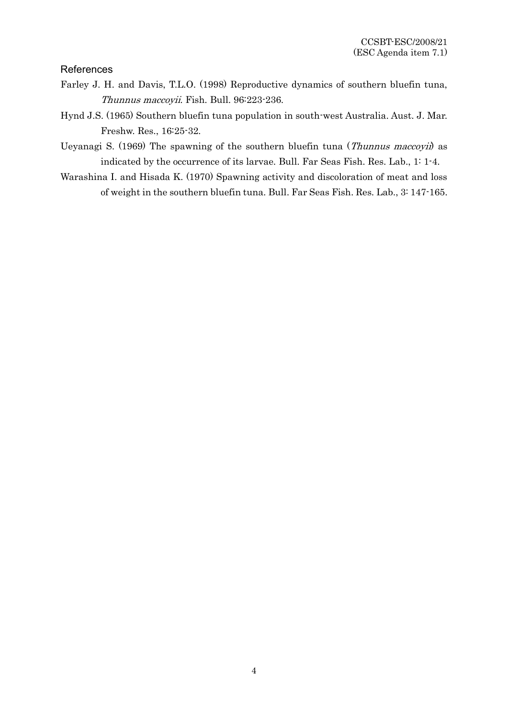## References

- Farley J. H. and Davis, T.L.O. (1998) Reproductive dynamics of southern bluefin tuna, Thunnus maccoyii. Fish. Bull. 96:223-236.
- Hynd J.S. (1965) Southern bluefin tuna population in south-west Australia. Aust. J. Mar. Freshw. Res., 16:25-32.
- Ueyanagi S. (1969) The spawning of the southern bluefin tuna (Thunnus maccoyii) as indicated by the occurrence of its larvae. Bull. Far Seas Fish. Res. Lab., 1: 1-4.
- Warashina I. and Hisada K. (1970) Spawning activity and discoloration of meat and loss of weight in the southern bluefin tuna. Bull. Far Seas Fish. Res. Lab., 3: 147-165.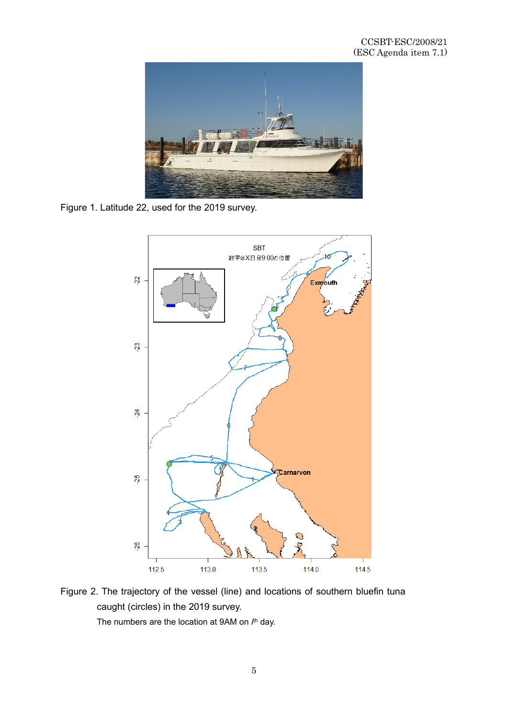

Figure 1. Latitude 22, used for the 2019 survey.



Figure 2. The trajectory of the vessel (line) and locations of southern bluefin tuna caught (circles) in the 2019 survey.

The numbers are the location at 9AM on *i*<sup>th</sup> day.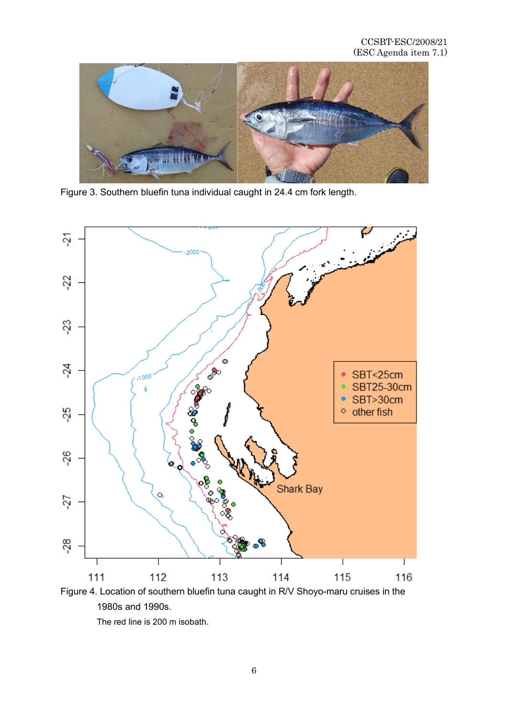

Figure 3. Southern bluefin tuna individual caught in 24.4 cm fork length.



Figure 4. Location of southern bluefin tuna caught in R/V Shoyo-maru cruises in the 1980s and 1990s.

The red line is 200 m isobath.